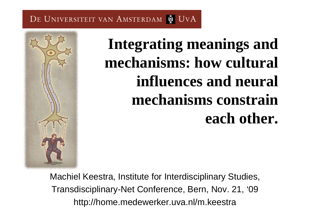# **Integrating meanings and mechanisms: how cultural influences and neural mechanisms constrain each other.**

Machiel Keestra, Institute for Interdisciplinary Studies, Transdisciplinary-Net Conference, Bern, Nov. 21, '09 http://home.medewerker.uva.nl/m.keestra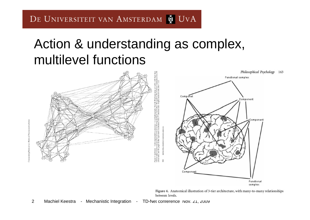#### Action & understanding as complex, multilevel functions



Figure 4. Anatomical illustration of 3-tier architecture, with many-to-many relationships between levels.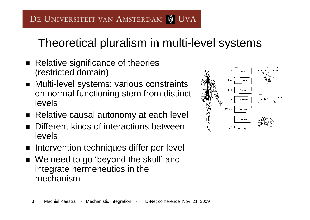#### Theoretical pluralism in multi-level systems

- $\blacksquare$  Relative significance of theories (restricted domain)
- Multi-level systems: various constraints on normal functioning stem from distinct levels
- Relative causal autonomy at each level
- Different kinds of interactions between levels
- $\blacksquare$ Intervention techniques differ per level
- We need to go 'beyond the skull' and integrate hermeneutics in the mechanism

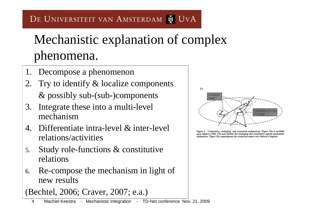# Mechanistic explanation of complex phenomena.

- 1. Decompose a phenomenon
- 2. Try to identify & localize components & possibly sub-(sub-)components
- 3. Integrate these into a multi-level mechanism
- 4. Differentiate intra-level & inter-level relations/activities
- 5. Study role-functions & constitutive relations
- 6. Re-compose the mechanism in light of new results

(Bechtel, 2006; Craver, 2007; e.a.)

 $b)$ Contextual xplanandum Eve 's d-ing

Figure 3. Constitutive, etiological, and contextual explanations. Figure 3(a) is modeled upon Salmon (1984, 275) and exhibits the etiological and constitutive aspects mechanistic explanation. Figure 3(b) superimposes the contextual aspect onto Salmon's diagram.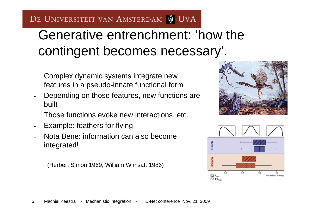### Generative entrenchment: 'how the contingent becomes necessary'.

- Complex dynamic systems integrate new features in a pseudo-innate functional form
- Depending on those features, new functions are built
- Those functions evoke new interactions, etc.
- Example: feathers for flying
- Nota Bene: information can also become integrated!

(Herbert Simon 1969; William Wimsatt 1986)



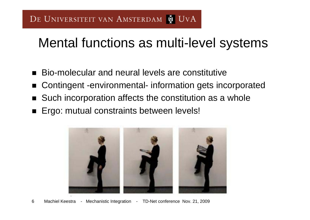#### Mental functions as multi-level systems

- $\blacksquare$ Bio-molecular and neural levels are constitutive
- $\blacksquare$ Contingent -environmental- information gets incorporated
- $\blacksquare$ Such incorporation affects the constitution as a whole
- $\blacksquare$ Ergo: mutual constraints between levels!

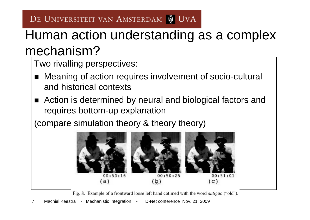#### Human action understanding as a complex mechanism?

Two rivalling perspectives:

- $\blacksquare$  Meaning of action requires involvement of socio-cultural and historical contexts
- Action is determined by neural and biological factors and requires bottom-up explanation

(compare simulation theory & theory theory)



Fig. 8. Example of a frontward loose left hand cotimed with the word *antiguo* ("old").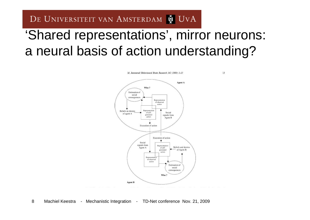#### 'Shared representations', mirror neurons: a neural basis of action understanding?

Agent A Who? Estimation of social consequences Representation of observed action Representation Beliefs an desires of self-Social of agent A generated signals from action Agent B Execution of action Execution of action ۸ Social signals from Representation **Beliefs** and desires Agent A of selfof Agent B generated action Representation of observed action Estimation of social consequences Who? **Agent B** 

M. Jeannerod/Behavioural Brain Research 142 (2003) 1-15

13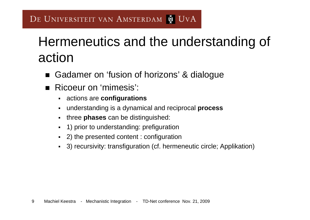## Hermeneutics and the understanding of action

- $\blacksquare$ Gadamer on 'fusion of horizons' & dialogue
- $\blacksquare$  Ricoeur on 'mimesis':
	- $\blacksquare$ actions are **configurations**
	- $\blacksquare$ understanding is a dynamical and reciprocal **process**
	- $\blacksquare$ three **phases** can be distinguished:
	- $\blacksquare$ 1) prior to understanding: prefiguration
	- 2) the presented content : configuration
	- П 3) recursivity: transfiguration (cf. hermeneutic circle; Applikation)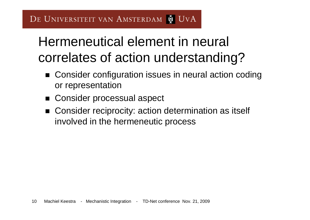### Hermeneutical element in neural correlates of action understanding?

- Consider configuration issues in neural action coding or representation
- Consider processual aspect
- Consider reciprocity: action determination as itself involved in the hermeneutic process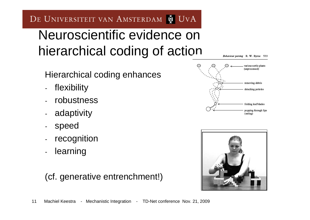#### Neuroscientific evidence on hierarchical coding of action

Behaviour parsing R. W. Byrne 533

Hierarchical coding enhances

- flexibility
- robustness
- adaptivity
- speed
- recognition
- **learning**

#### (cf. generative entrenchment!)



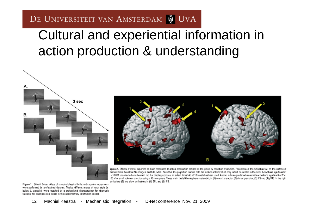#### Cultural and experiential information in action production & understanding





igure 2. Effects of motor expertise on brain responses to action observation defined as the group by condition interaction. Projections of the activation foci on the surface of tandard brain (Montreal Neurological Institute, MNI). Note that this projection renders onto the surface activity which may in fact be located in the sulci. Activations significant at  $<$  0.001 uncorrected are shown in red. For display purposes, an extent threshold of 10 voxels has been used. Arrows indicate predicted areas with activations significant at  $P$  < .05 after small volume correction using a 10 mm sphere. These are in the left hemisphere system (A), in (1) ventral premotor, (2) dorsal premotor, (3) IPS and (4) pSTS. In the right emisphere (B) we show activations in (1) SPL and (2) IPS.

Figure 1. Stimuli: Colour videos of standard classical ballet and capoeira movements were performed by professional dancers. Twelve different moves of each style (a, ballet; b, capoeira) were matched by a professional choreographer for kinematic features (for examples see videos in the supplementary information online).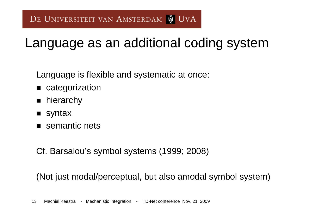#### Language as an additional coding system

Language is flexible and systematic at once:

- **n** categorization
- $\blacksquare$ hierarchy
- $\blacksquare$  syntax
- semantic nets
- Cf. Barsalou's symbol systems (1999; 2008)

(Not just modal/perceptual, but also amodal symbol system)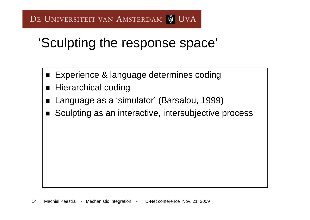#### 'Sculpting the response space'

- Experience & language determines coding
- $\blacksquare$ Hierarchical coding
- $\blacksquare$ Language as a 'simulator' (Barsalou, 1999)
- $\blacksquare$ Sculpting as an interactive, intersubjective process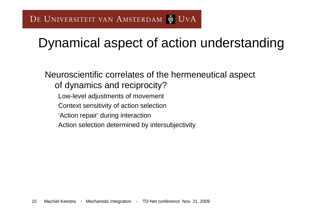### Dynamical aspect of action understanding

Neuroscientific correlates of the hermeneutical aspect of dynamics and reciprocity? Low-level adjustments of movement Context sensitivity of action selection 'Action repair' during interaction Action selection determined by intersubjectivity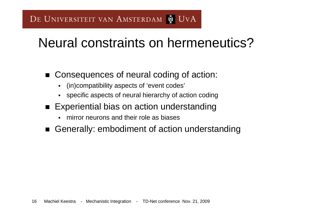### Neural constraints on hermeneutics?

- Consequences of neural coding of action:
	- $\blacksquare$ (in)compatibility aspects of 'event codes'
	- specific aspects of neural hierarchy of action coding
- Experiential bias on action understanding
	- П mirror neurons and their role as biases
- Generally: embodiment of action understanding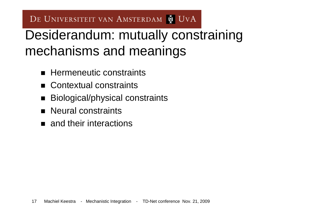### Desiderandum: mutually constraining mechanisms and meanings

- **E** Hermeneutic constraints
- Contextual constraints
- $\blacksquare$ Biological/physical constraints
- **Neural constraints**
- **n** and their interactions